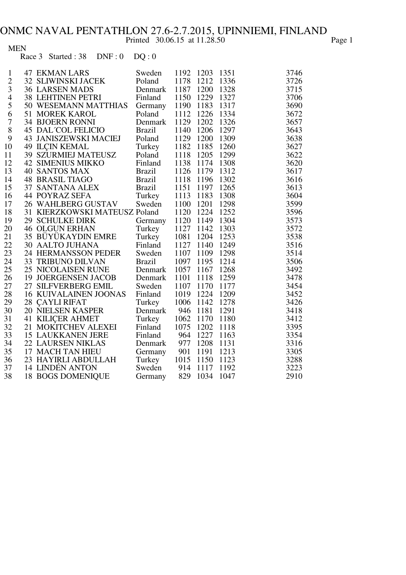Printed 30.06.15 at 11.28.50 Page 1

MEN

Race 3 Started :  $38$  DNF :  $0$  DQ :  $0$ 

| $\mathbf{1}$             | <b>47 EKMAN LARS</b>          | Sweden                     |                | 1192 1203 1351 |      | 3746 |
|--------------------------|-------------------------------|----------------------------|----------------|----------------|------|------|
|                          | 32 SLIWINSKI JACEK            | Poland                     | 1178           | 1212 1336      |      | 3726 |
| $\frac{2}{3}$            | <b>36 LARSEN MADS</b>         | Denmark                    | 1187 1200      |                | 1328 | 3715 |
| $\overline{\mathcal{L}}$ | 38 LEHTINEN PETRI             | Finland                    |                | 1150 1229 1327 |      | 3706 |
| 5                        | 50 WESEMANN MATTHIAS          | Germany                    | 1190 1183 1317 |                |      | 3690 |
| 6                        | <b>51 MOREK KAROL</b>         | Poland                     |                | 1112 1226 1334 |      | 3672 |
| $\boldsymbol{7}$         | <b>34 BJOERN RONNI</b>        | Denmark                    | 1129 1202 1326 |                |      | 3657 |
| 8                        | <b>45 DAL COL FELICIO</b>     | <b>Brazil</b>              | 1140           | 1206 1297      |      | 3643 |
| 9                        | 43 JANISZEWSKI MACIEJ         | Poland<br>Turkey<br>Poland | 1129 1200 1309 |                |      | 3638 |
| 10                       | <b>49 ILCIN KEMAL</b>         |                            | 1182 1185 1260 |                |      | 3627 |
| 11                       | 39 SZURMIEJ MATEUSZ           |                            | 1118 1205 1299 |                |      | 3622 |
| 12                       | <b>42 SIMENIUS MIKKO</b>      | Finland                    | 1138 1174 1308 |                |      | 3620 |
| 13                       | <b>40 SANTOS MAX</b>          | <b>Brazil</b>              |                | 1126 1179 1312 |      | 3617 |
| 14                       | <b>48 BRASIL TIAGO</b>        | <b>Brazil</b>              |                | 1118 1196 1302 |      | 3616 |
| 15                       | 37 SANTANA ALEX Brazil        |                            |                | 1151 1197 1265 |      | 3613 |
| 16                       | Turkey<br>44 POYRAZ SEFA      |                            |                | 1113 1183 1308 |      | 3604 |
| 17                       | 26 WAHLBERG GUSTAV            | Sweden                     | 1100 1201      |                | 1298 | 3599 |
| 18                       | 31 KIERZKOWSKI MATEUSZ Poland |                            |                | 1120 1224 1252 |      | 3596 |
| 19                       | <b>29 SCHULKE DIRK</b>        | Germany                    |                | 1120 1149 1304 |      | 3573 |
| 20                       | <b>46 OLGUN ERHAN</b>         | Turkey                     |                | 1127 1142 1303 |      | 3572 |
| 21                       | 35 BÜYÜKAYDIN EMRE            | Turkey                     |                | 1081 1204 1253 |      | 3538 |
| 22                       | <b>30 AALTO JUHANA</b>        | Finland                    | 1127           | 1140           | 1249 | 3516 |
| 23                       | 24 HERMANSSON PEDER           | Sweden                     | 1107           | 1109           | 1298 | 3514 |
| 24                       | <b>33 TRIBUNO DILVAN</b>      | <b>Brazil</b>              | 1097           | 1195 1214      |      | 3506 |
| 25                       | 25 NICOLAISEN RUNE            | Denmark                    | 1057           | 1167           | 1268 | 3492 |
| 26                       | 19 JOERGENSEN JACOB           | Denmark                    | 1101           | 1118           | 1259 | 3478 |
| 27                       | 27 SILFVERBERG EMIL           | Sweden                     |                | 1107 1170 1177 |      | 3454 |
| 28                       | <b>16 KUIVALAINEN JOONAS</b>  | Finland                    |                | 1019 1224 1209 |      | 3452 |
| 29                       | 28 CAYLI RIFAT                | Turkey                     |                | 1006 1142 1278 |      | 3426 |
| 30                       | 20 NIELSEN KASPER             | Denmark                    | 946 1181 1291  |                |      | 3418 |
| 31                       | 41 KILIÇER AHMET              | Turkey                     |                | 1062 1170 1180 |      | 3412 |
| 32                       | 21 MOKITCHEV ALEXEI           | Finland                    | 1075           | 1202 1118      |      | 3395 |
| 33                       | <b>15 LAUKKANEN JERE</b>      | Finland                    | 964 1227 1163  |                |      | 3354 |
| 34                       | 22 LAURSEN NIKLAS             | Denmark 977 1208 1131      |                |                |      | 3316 |
| 35                       | 17 MACH TAN HIEU              | Germany 901 1191 1213      |                |                |      | 3305 |
| 36                       | 23 HAYIRLI ABDULLAH           | Turkey                     | 1015 1150 1123 |                |      | 3288 |
| 37                       | <b>14 LINDÉN ANTON</b>        | Sweden                     | 914            | 1117 1192      |      | 3223 |
| 38                       | <b>18 BOGS DOMENIQUE</b>      | Germany                    |                | 829 1034       | 1047 | 2910 |